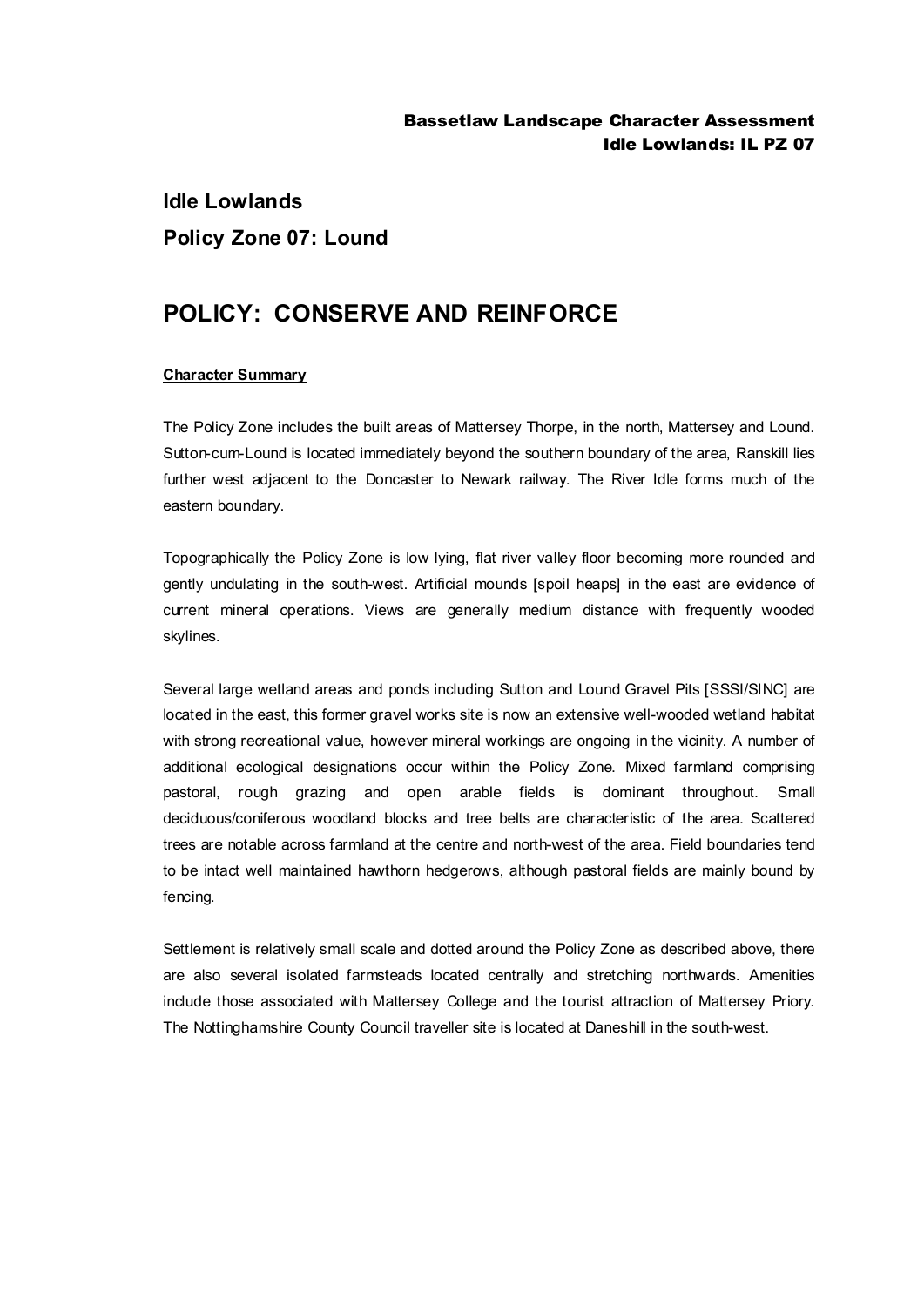# **Idle Lowlands Policy Zone 07: Lound**

## **POLICY: CONSERVE AND REINFORCE**

### **Character Summary**

The Policy Zone includes the built areas of Mattersey Thorpe, in the north, Mattersey and Lound. Sutton-cum-Lound is located immediately beyond the southern boundary of the area, Ranskill lies further west adjacent to the Doncaster to Newark railway. The River Idle forms much of the eastern boundary.

Topographically the Policy Zone is low lying, flat river valley floor becoming more rounded and gently undulating in the south-west. Artificial mounds [spoil heaps] in the east are evidence of current mineral operations. Views are generally medium distance with frequently wooded skylines.

Several large wetland areas and ponds including Sutton and Lound Gravel Pits [SSSI/SINC] are located in the east, this former gravel works site is now an extensive well-wooded wetland habitat with strong recreational value, however mineral workings are ongoing in the vicinity. A number of additional ecological designations occur within the Policy Zone. Mixed farmland comprising pastoral, rough grazing and open arable fields is dominant throughout. Small deciduous/coniferous woodland blocks and tree belts are characteristic of the area. Scattered trees are notable across farmland at the centre and north-west of the area. Field boundaries tend to be intact well maintained hawthorn hedgerows, although pastoral fields are mainly bound by fencing.

Settlement is relatively small scale and dotted around the Policy Zone as described above, there are also several isolated farmsteads located centrally and stretching northwards. Amenities include those associated with Mattersey College and the tourist attraction of Mattersey Priory. The Nottinghamshire County Council traveller site is located at Daneshill in the south-west.